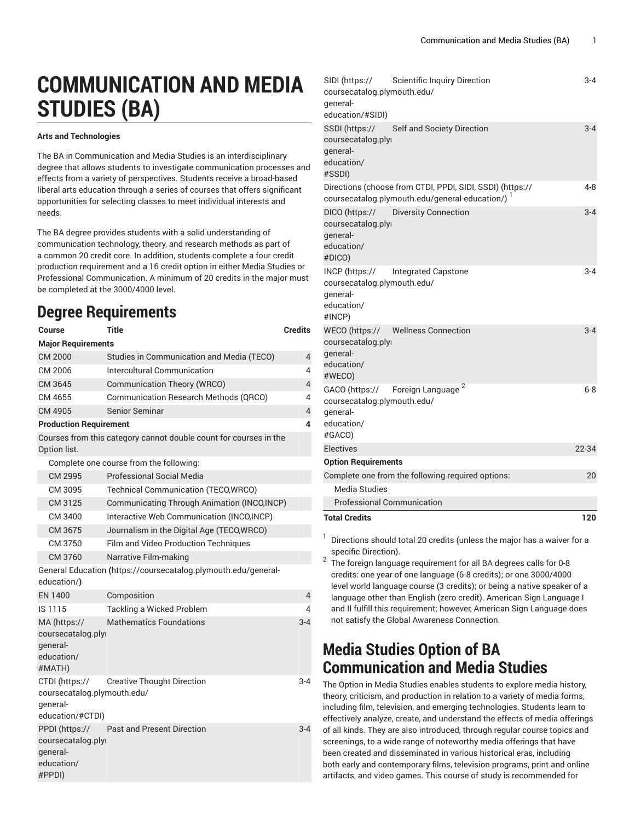# **COMMUNICATION AND MEDIA STUDIES (BA)**

#### **Arts and Technologies**

The BA in Communication and Media Studies is an interdisciplinary degree that allows students to investigate communication processes and effects from a variety of perspectives. Students receive a broad-based liberal arts education through a series of courses that offers significant opportunities for selecting classes to meet individual interests and needs.

The BA degree provides students with a solid understanding of communication technology, theory, and research methods as part of a common 20 credit core. In addition, students complete a four credit production requirement and a 16 credit option in either Media Studies or Professional Communication. A minimum of 20 credits in the major must be completed at the 3000/4000 level.

# **Degree Requirements**

| Course                                                                                                                  | <b>Title</b>                                                      | <b>Credits</b> |
|-------------------------------------------------------------------------------------------------------------------------|-------------------------------------------------------------------|----------------|
| <b>Major Requirements</b>                                                                                               |                                                                   |                |
| CM 2000                                                                                                                 | Studies in Communication and Media (TECO)                         | 4              |
| CM 2006                                                                                                                 | Intercultural Communication<br>4                                  |                |
| CM 3645                                                                                                                 | <b>Communication Theory (WRCO)</b>                                | $\overline{4}$ |
| CM 4655                                                                                                                 | <b>Communication Research Methods (QRCO)</b>                      | 4              |
| CM 4905                                                                                                                 | <b>Senior Seminar</b>                                             | 4              |
| <b>Production Requirement</b>                                                                                           |                                                                   | 4              |
| Option list.                                                                                                            | Courses from this category cannot double count for courses in the |                |
|                                                                                                                         | Complete one course from the following:                           |                |
| CM 2995                                                                                                                 | Professional Social Media                                         |                |
| CM 3095                                                                                                                 | Technical Communication (TECO, WRCO)                              |                |
| CM 3125                                                                                                                 | Communicating Through Animation (INCO,INCP)                       |                |
| CM 3400                                                                                                                 | Interactive Web Communication (INCO, INCP)                        |                |
| CM 3675                                                                                                                 | Journalism in the Digital Age (TECO, WRCO)                        |                |
| CM 3750                                                                                                                 | Film and Video Production Techniques                              |                |
| CM 3760                                                                                                                 | Narrative Film-making                                             |                |
| education/)                                                                                                             | General Education (https://coursecatalog.plymouth.edu/general-    |                |
| EN 1400                                                                                                                 | Composition                                                       | 4              |
| IS 1115                                                                                                                 | Tackling a Wicked Problem                                         | 4              |
| MA (https://<br>coursecatalog.ply<br>qeneral-<br>education/<br>#MATH)                                                   | <b>Mathematics Foundations</b>                                    | $3 - 4$        |
| CTDI (https://<br>coursecatalog.plymouth.edu/<br>qeneral-<br>education/#CTDI)                                           | <b>Creative Thought Direction</b>                                 | $3 - 4$        |
| <b>Past and Present Direction</b><br>$3 - 4$<br>PPDI (https://<br>coursecatalog.ply<br>qeneral-<br>education/<br>#PPDI) |                                                                   |                |

| SIDI (https://<br>Scientific Inquiry Direction<br>coursecatalog.plymouth.edu/<br>qeneral-<br>education/#SIDI)      | $3 - 4$ |
|--------------------------------------------------------------------------------------------------------------------|---------|
| Self and Society Direction<br>SSDI (https://<br>coursecatalog.plyi<br>general-<br>education/<br>#SSDI)             | $3 - 4$ |
| Directions (choose from CTDI, PPDI, SIDI, SSDI) (https://<br>coursecatalog.plymouth.edu/general-education/) 1      | 4-8     |
| <b>Diversity Connection</b><br>DICO (https://<br>coursecatalog.plyi<br>general-<br>education/<br>#DICO)            | $3 - 4$ |
| INCP (https://<br>Integrated Capstone<br>coursecatalog.plymouth.edu/<br>qeneral-<br>education/<br>#INCP)           | $3 - 4$ |
| <b>Wellness Connection</b><br>WECO (https://<br>coursecatalog.plyi<br>general-<br>education/<br>#WECO)             | $3 - 4$ |
| Foreign Language <sup>2</sup><br>GACO (https://<br>coursecatalog.plymouth.edu/<br>qeneral-<br>education/<br>#GACO) | $6 - 8$ |
| Electives                                                                                                          | 22-34   |
| <b>Option Requirements</b>                                                                                         |         |
| Complete one from the following required options:                                                                  | 20      |
| Media Studies                                                                                                      |         |
| <b>Professional Communication</b>                                                                                  |         |
| <b>Total Credits</b>                                                                                               | 120     |

 $SIDI$  ([https://](https://coursecatalog.plymouth.edu/general-education/#SIDI)

1 Directions should total 20 credits (unless the major has a waiver for a specific Direction).

 $2$  The foreign language requirement for all BA degrees calls for 0-8 credits: one year of one language (6-8 credits); or one 3000/4000 level world language course (3 credits); or being a native speaker of a language other than English (zero credit). American Sign Language I and II fulfill this requirement; however, American Sign Language does not satisfy the Global Awareness Connection.

# **Media Studies Option of BA Communication and Media Studies**

The Option in Media Studies enables students to explore media history, theory, criticism, and production in relation to a variety of media forms, including film, television, and emerging technologies. Students learn to effectively analyze, create, and understand the effects of media offerings of all kinds. They are also introduced, through regular course topics and screenings, to a wide range of noteworthy media offerings that have been created and disseminated in various historical eras, including both early and contemporary films, television programs, print and online artifacts, and video games. This course of study is recommended for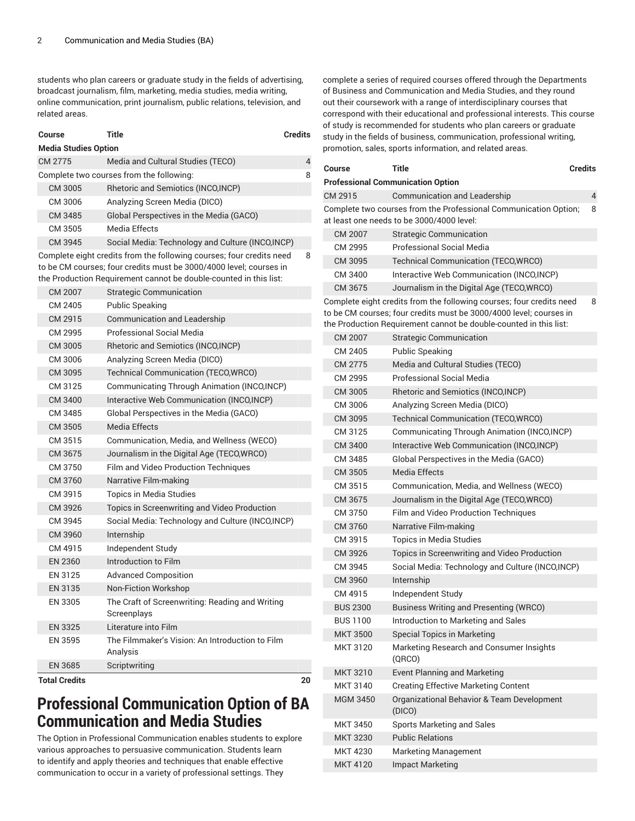students who plan careers or graduate study in the fields of advertising, broadcast journalism, film, marketing, media studies, media writing, online communication, print journalism, public relations, television, and related areas.

| Course                      | <b>Title</b>                                                                                                                                                                                                    | <b>Credits</b> |
|-----------------------------|-----------------------------------------------------------------------------------------------------------------------------------------------------------------------------------------------------------------|----------------|
| <b>Media Studies Option</b> |                                                                                                                                                                                                                 |                |
| CM 2775                     | Media and Cultural Studies (TECO)                                                                                                                                                                               | 4              |
|                             | Complete two courses from the following:                                                                                                                                                                        | 8              |
| CM 3005                     | Rhetoric and Semiotics (INCO, INCP)                                                                                                                                                                             |                |
| CM 3006                     | Analyzing Screen Media (DICO)                                                                                                                                                                                   |                |
| CM 3485                     | Global Perspectives in the Media (GACO)                                                                                                                                                                         |                |
| CM 3505                     | Media Effects                                                                                                                                                                                                   |                |
| CM 3945                     | Social Media: Technology and Culture (INCO, INCP)                                                                                                                                                               |                |
|                             | Complete eight credits from the following courses; four credits need<br>to be CM courses; four credits must be 3000/4000 level; courses in<br>the Production Requirement cannot be double-counted in this list: | 8              |
| CM 2007                     | <b>Strategic Communication</b>                                                                                                                                                                                  |                |
| CM 2405                     | Public Speaking                                                                                                                                                                                                 |                |
| CM 2915                     | Communication and Leadership                                                                                                                                                                                    |                |
| CM 2995                     | Professional Social Media                                                                                                                                                                                       |                |
| CM 3005                     | Rhetoric and Semiotics (INCO, INCP)                                                                                                                                                                             |                |
| CM 3006                     | Analyzing Screen Media (DICO)                                                                                                                                                                                   |                |
| CM 3095                     | Technical Communication (TECO, WRCO)                                                                                                                                                                            |                |
| CM 3125                     | Communicating Through Animation (INCO, INCP)                                                                                                                                                                    |                |
| CM 3400                     | Interactive Web Communication (INCO,INCP)                                                                                                                                                                       |                |
| CM 3485                     | Global Perspectives in the Media (GACO)                                                                                                                                                                         |                |
| CM 3505                     | Media Effects                                                                                                                                                                                                   |                |
| CM 3515                     | Communication, Media, and Wellness (WECO)                                                                                                                                                                       |                |
| CM 3675                     | Journalism in the Digital Age (TECO,WRCO)                                                                                                                                                                       |                |
| CM 3750                     | Film and Video Production Techniques                                                                                                                                                                            |                |
| CM 3760                     | Narrative Film-making                                                                                                                                                                                           |                |
| CM 3915                     | Topics in Media Studies                                                                                                                                                                                         |                |
| CM 3926                     | Topics in Screenwriting and Video Production                                                                                                                                                                    |                |
| CM 3945                     | Social Media: Technology and Culture (INCO, INCP)                                                                                                                                                               |                |
| CM 3960                     | Internship                                                                                                                                                                                                      |                |
| CM 4915                     | Independent Study                                                                                                                                                                                               |                |
| <b>EN 2360</b>              | Introduction to Film                                                                                                                                                                                            |                |
| EN 3125                     | <b>Advanced Composition</b>                                                                                                                                                                                     |                |
| EN 3135                     | Non-Fiction Workshop                                                                                                                                                                                            |                |
| EN 3305                     | The Craft of Screenwriting: Reading and Writing<br>Screenplays                                                                                                                                                  |                |
| EN 3325                     | Literature into Film                                                                                                                                                                                            |                |
| EN 3595                     | The Filmmaker's Vision: An Introduction to Film<br>Analysis                                                                                                                                                     |                |
| EN 3685                     | Scriptwriting                                                                                                                                                                                                   |                |
| <b>Total Credits</b>        |                                                                                                                                                                                                                 | 20             |

# **Professional Communication Option of BA Communication and Media Studies**

The Option in Professional Communication enables students to explore various approaches to persuasive communication. Students learn to identify and apply theories and techniques that enable effective communication to occur in a variety of professional settings. They

complete a series of required courses offered through the Departments of Business and Communication and Media Studies, and they round out their coursework with a range of interdisciplinary courses that correspond with their educational and professional interests. This course of study is recommended for students who plan careers or graduate study in the fields of business, communication, professional writing, promotion, sales, sports information, and related areas.

| Course          | Title                                                                                                                                                                                                           | <b>Credits</b> |
|-----------------|-----------------------------------------------------------------------------------------------------------------------------------------------------------------------------------------------------------------|----------------|
|                 | <b>Professional Communication Option</b>                                                                                                                                                                        |                |
| CM 2915         | <b>Communication and Leadership</b>                                                                                                                                                                             | 4              |
|                 | Complete two courses from the Professional Communication Option;<br>at least one needs to be 3000/4000 level:                                                                                                   | 8              |
| CM 2007         | <b>Strategic Communication</b>                                                                                                                                                                                  |                |
| CM 2995         | Professional Social Media                                                                                                                                                                                       |                |
| CM 3095         | Technical Communication (TECO, WRCO)                                                                                                                                                                            |                |
| CM 3400         | Interactive Web Communication (INCO, INCP)                                                                                                                                                                      |                |
| CM 3675         | Journalism in the Digital Age (TECO, WRCO)                                                                                                                                                                      |                |
|                 | Complete eight credits from the following courses; four credits need<br>to be CM courses; four credits must be 3000/4000 level; courses in<br>the Production Requirement cannot be double-counted in this list: | 8              |
| CM 2007         | <b>Strategic Communication</b>                                                                                                                                                                                  |                |
| CM 2405         | Public Speaking                                                                                                                                                                                                 |                |
| CM 2775         | Media and Cultural Studies (TECO)                                                                                                                                                                               |                |
| CM 2995         | <b>Professional Social Media</b>                                                                                                                                                                                |                |
| CM 3005         | Rhetoric and Semiotics (INCO, INCP)                                                                                                                                                                             |                |
| CM 3006         | Analyzing Screen Media (DICO)                                                                                                                                                                                   |                |
| CM 3095         | <b>Technical Communication (TECO, WRCO)</b>                                                                                                                                                                     |                |
| CM 3125         | Communicating Through Animation (INCO,INCP)                                                                                                                                                                     |                |
| CM 3400         | Interactive Web Communication (INCO, INCP)                                                                                                                                                                      |                |
| CM 3485         | Global Perspectives in the Media (GACO)                                                                                                                                                                         |                |
| CM 3505         | Media Effects                                                                                                                                                                                                   |                |
| CM 3515         | Communication, Media, and Wellness (WECO)                                                                                                                                                                       |                |
| CM 3675         | Journalism in the Digital Age (TECO, WRCO)                                                                                                                                                                      |                |
| CM 3750         | Film and Video Production Techniques                                                                                                                                                                            |                |
| CM 3760         | Narrative Film-making                                                                                                                                                                                           |                |
| CM 3915         | <b>Topics in Media Studies</b>                                                                                                                                                                                  |                |
| CM 3926         | Topics in Screenwriting and Video Production                                                                                                                                                                    |                |
| CM 3945         | Social Media: Technology and Culture (INCO,INCP)                                                                                                                                                                |                |
| CM 3960         | Internship                                                                                                                                                                                                      |                |
| CM 4915         | Independent Study                                                                                                                                                                                               |                |
| <b>BUS 2300</b> | <b>Business Writing and Presenting (WRCO)</b>                                                                                                                                                                   |                |
| <b>BUS 1100</b> | Introduction to Marketing and Sales                                                                                                                                                                             |                |
| <b>MKT 3500</b> | <b>Special Topics in Marketing</b>                                                                                                                                                                              |                |
| MKT 3120        | Marketing Research and Consumer Insights<br>(QRCO)                                                                                                                                                              |                |
| <b>MKT 3210</b> | <b>Event Planning and Marketing</b>                                                                                                                                                                             |                |
| MKT 3140        | <b>Creating Effective Marketing Content</b>                                                                                                                                                                     |                |
| <b>MGM 3450</b> | Organizational Behavior & Team Development<br>(DICO)                                                                                                                                                            |                |
| MKT 3450        | <b>Sports Marketing and Sales</b>                                                                                                                                                                               |                |
| <b>MKT 3230</b> | <b>Public Relations</b>                                                                                                                                                                                         |                |
| MKT 4230        | <b>Marketing Management</b>                                                                                                                                                                                     |                |
| <b>MKT 4120</b> | <b>Impact Marketing</b>                                                                                                                                                                                         |                |
|                 |                                                                                                                                                                                                                 |                |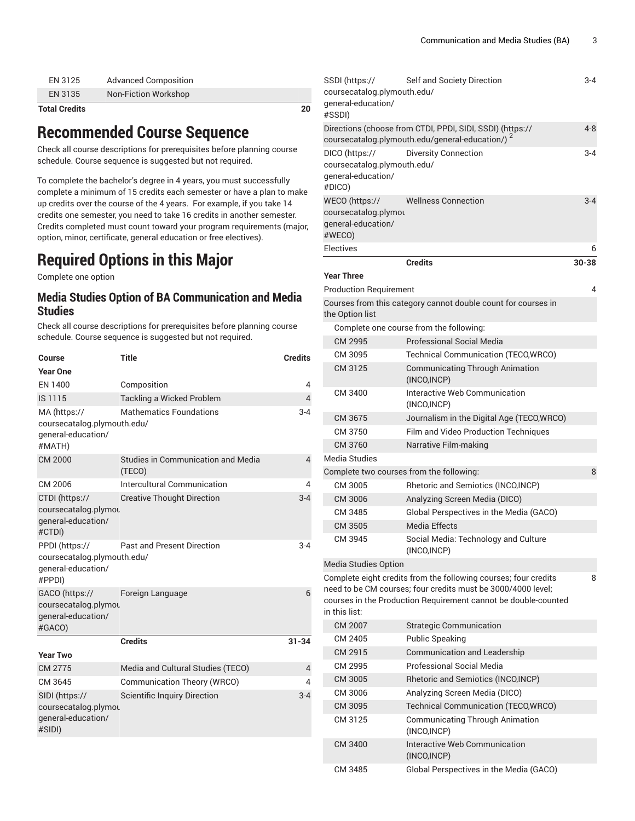| EN 3125 | <b>Advanced Composition</b> |
|---------|-----------------------------|
| EN 3135 | Non-Fiction Workshop        |

#### **Total Credits 20**

### **Recommended Course Sequence**

Check all course descriptions for prerequisites before planning course schedule. Course sequence is suggested but not required.

To complete the bachelor's degree in 4 years, you must successfully complete a minimum of 15 credits each semester or have a plan to make up credits over the course of the 4 years. For example, if you take 14 credits one semester, you need to take 16 credits in another semester. Credits completed must count toward your program requirements (major, option, minor, certificate, general education or free electives).

# **Required Options in this Major**

Complete one option

### **Media Studies Option of BA Communication and Media Studies**

Check all course descriptions for prerequisites before planning course schedule. Course sequence is suggested but not required.

| Course                                                                        | <b>Title</b>                                 | <b>Credits</b> |
|-------------------------------------------------------------------------------|----------------------------------------------|----------------|
| <b>Year One</b>                                                               |                                              |                |
| EN 1400                                                                       | Composition                                  | 4              |
| IS 1115                                                                       | Tackling a Wicked Problem                    | $\overline{4}$ |
| MA (https://<br>coursecatalog.plymouth.edu/<br>qeneral-education/<br>#MATH)   | <b>Mathematics Foundations</b>               | $3 - 4$        |
| CM 2000                                                                       | Studies in Communication and Media<br>(TECO) | $\overline{4}$ |
| CM 2006                                                                       | Intercultural Communication                  | 4              |
| CTDI (https://<br>coursecatalog.plymou<br>qeneral-education/<br>#CTDI)        | <b>Creative Thought Direction</b>            | $3 - 4$        |
| PPDI (https://<br>coursecatalog.plymouth.edu/<br>qeneral-education/<br>#PPDI) | <b>Past and Present Direction</b>            | 3-4            |
| GACO (https://<br>coursecatalog.plymou<br>qeneral-education/<br>#GACO)        | Foreign Language                             | 6              |
|                                                                               | <b>Credits</b>                               | $31 - 34$      |
| <b>Year Two</b>                                                               |                                              |                |
| CM 2775                                                                       | Media and Cultural Studies (TECO)            | $\overline{4}$ |
| CM 3645                                                                       | Communication Theory (WRCO)                  | 4              |
| SIDI (https://<br>coursecatalog.plymou<br>qeneral-education/<br>#SIDI)        | <b>Scientific Inquiry Direction</b>          | $3-4$          |

| SSDI (https://<br>coursecatalog.plymouth.edu/<br>general-education/<br>#SSDI)                                            | Self and Society Direction                                                                                                                                                                        | 3-4     |
|--------------------------------------------------------------------------------------------------------------------------|---------------------------------------------------------------------------------------------------------------------------------------------------------------------------------------------------|---------|
| Directions (choose from CTDI, PPDI, SIDI, SSDI) (https://<br>coursecatalog.plymouth.edu/general-education/) <sup>2</sup> |                                                                                                                                                                                                   | $4 - 8$ |
| DICO (https://<br>coursecatalog.plymouth.edu/<br>general-education/<br>#DICO)                                            | <b>Diversity Connection</b>                                                                                                                                                                       | $3 - 4$ |
| WECO (https://<br>coursecatalog.plymou<br>general-education/<br>#WECO)                                                   | <b>Wellness Connection</b>                                                                                                                                                                        | $3 - 4$ |
| <b>Electives</b>                                                                                                         |                                                                                                                                                                                                   | 6       |
| <b>Year Three</b>                                                                                                        | <b>Credits</b>                                                                                                                                                                                    | 30-38   |
| <b>Production Requirement</b>                                                                                            |                                                                                                                                                                                                   | 4       |
|                                                                                                                          | Courses from this category cannot double count for courses in                                                                                                                                     |         |
| the Option list                                                                                                          |                                                                                                                                                                                                   |         |
|                                                                                                                          | Complete one course from the following:                                                                                                                                                           |         |
| CM 2995                                                                                                                  | Professional Social Media                                                                                                                                                                         |         |
| CM 3095                                                                                                                  | Technical Communication (TECO, WRCO)                                                                                                                                                              |         |
| CM 3125                                                                                                                  | <b>Communicating Through Animation</b><br>(INCO, INCP)                                                                                                                                            |         |
| CM 3400                                                                                                                  | Interactive Web Communication<br>(INCO, INCP)                                                                                                                                                     |         |
| CM 3675                                                                                                                  | Journalism in the Digital Age (TECO, WRCO)                                                                                                                                                        |         |
| CM 3750                                                                                                                  | Film and Video Production Techniques                                                                                                                                                              |         |
| CM 3760                                                                                                                  | Narrative Film-making                                                                                                                                                                             |         |
| Media Studies                                                                                                            |                                                                                                                                                                                                   |         |
| Complete two courses from the following:                                                                                 |                                                                                                                                                                                                   | 8       |
| CM 3005                                                                                                                  | Rhetoric and Semiotics (INCO,INCP)                                                                                                                                                                |         |
| CM 3006                                                                                                                  | Analyzing Screen Media (DICO)                                                                                                                                                                     |         |
| CM 3485                                                                                                                  | Global Perspectives in the Media (GACO)                                                                                                                                                           |         |
| CM 3505                                                                                                                  | <b>Media Effects</b>                                                                                                                                                                              |         |
| CM 3945                                                                                                                  | Social Media: Technology and Culture<br>(INCO, INCP)                                                                                                                                              |         |
| <b>Media Studies Option</b>                                                                                              |                                                                                                                                                                                                   |         |
|                                                                                                                          | Complete eight credits from the following courses; four credits<br>need to be CM courses; four credits must be 3000/4000 level;<br>courses in the Production Requirement cannot be double-counted | 8       |
| in this list:                                                                                                            |                                                                                                                                                                                                   |         |
| CM 2007                                                                                                                  | <b>Strategic Communication</b>                                                                                                                                                                    |         |
| CM 2405                                                                                                                  | <b>Public Speaking</b>                                                                                                                                                                            |         |
| CM 2915                                                                                                                  | Communication and Leadership                                                                                                                                                                      |         |
| CM 2995                                                                                                                  | Professional Social Media                                                                                                                                                                         |         |
| CM 3005                                                                                                                  | Rhetoric and Semiotics (INCO, INCP)                                                                                                                                                               |         |
| CM 3006                                                                                                                  | Analyzing Screen Media (DICO)                                                                                                                                                                     |         |
| CM 3095                                                                                                                  | Technical Communication (TECO, WRCO)                                                                                                                                                              |         |
| CM 3125                                                                                                                  | <b>Communicating Through Animation</b><br>(INCO, INCP)                                                                                                                                            |         |
| CM 3400                                                                                                                  | Interactive Web Communication<br>(INCO, INCP)                                                                                                                                                     |         |
| CM 3485                                                                                                                  | Global Perspectives in the Media (GACO)                                                                                                                                                           |         |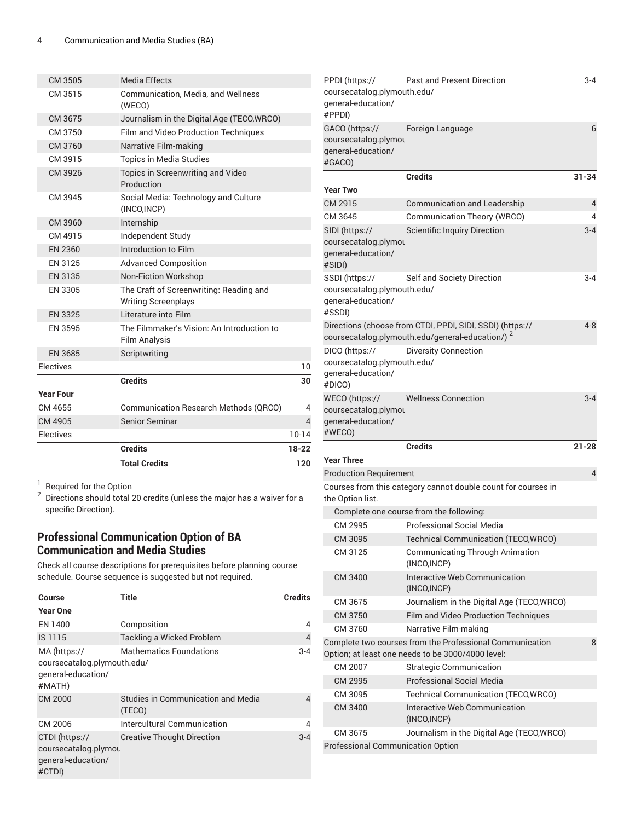|                  | <b>Total Credits</b>                                                  | 120            |
|------------------|-----------------------------------------------------------------------|----------------|
|                  | <b>Credits</b>                                                        | 18-22          |
| Electives        |                                                                       | 10-14          |
| CM 4905          | <b>Senior Seminar</b>                                                 | $\overline{4}$ |
| CM 4655          | <b>Communication Research Methods (QRCO)</b>                          | 4              |
| <b>Year Four</b> |                                                                       |                |
|                  | <b>Credits</b>                                                        |                |
| Electives        |                                                                       | 10             |
| <b>EN 3685</b>   | Scriptwriting                                                         |                |
| EN 3595          | The Filmmaker's Vision: An Introduction to<br>Film Analysis           |                |
| <b>EN 3325</b>   | Literature into Film                                                  |                |
| EN 3305          | The Craft of Screenwriting: Reading and<br><b>Writing Screenplays</b> |                |
| EN 3135          | <b>Non-Fiction Workshop</b>                                           |                |
| EN 3125          | <b>Advanced Composition</b>                                           |                |
| <b>EN 2360</b>   | Introduction to Film                                                  |                |
| CM 4915          | Independent Study                                                     |                |
| CM 3960          | Internship                                                            |                |
| CM 3945          | Social Media: Technology and Culture<br>(INCO, INCP)                  |                |
| CM 3926          | Topics in Screenwriting and Video<br>Production                       |                |
| CM 3915          | <b>Topics in Media Studies</b>                                        |                |
| CM 3760          | Narrative Film-making                                                 |                |
| CM 3750          | Film and Video Production Techniques                                  |                |
| CM 3675          | Journalism in the Digital Age (TECO, WRCO)                            |                |
| CM 3515          | Communication, Media, and Wellness<br>(WECO)                          |                |
| CM 3505          | <b>Media Effects</b>                                                  |                |

 $^{\rm 1}$  Required for the Option<br><sup>2</sup> Directions should total 20 credits (unless the major has a waiver for a specific Direction).

### **Professional Communication Option of BA Communication and Media Studies**

Check all course descriptions for prerequisites before planning course schedule. Course sequence is suggested but not required.

| Course                                                                      | Title                                               | <b>Credits</b> |
|-----------------------------------------------------------------------------|-----------------------------------------------------|----------------|
| <b>Year One</b>                                                             |                                                     |                |
| EN 1400                                                                     | Composition                                         | 4              |
| IS 1115                                                                     | Tackling a Wicked Problem                           | $\overline{4}$ |
| MA (https://<br>coursecatalog.plymouth.edu/<br>qeneral-education/<br>#MATH) | <b>Mathematics Foundations</b>                      | $3 - 4$        |
| <b>CM 2000</b>                                                              | <b>Studies in Communication and Media</b><br>(TECO) | 4              |
| CM 2006                                                                     | Intercultural Communication                         | 4              |
| CTDI (https://<br>coursecatalog.plymou<br>general-education/<br>#CTDI)      | <b>Creative Thought Direction</b>                   | $3 - 4$        |

| PPDI (https://<br>coursecatalog.plymouth.edu/<br>general-education/<br>#PPDI) | Past and Present Direction                                                                                               | $3 - 4$        |
|-------------------------------------------------------------------------------|--------------------------------------------------------------------------------------------------------------------------|----------------|
| GACO (https://<br>coursecatalog.plymou<br>general-education/<br>#GACO)        | Foreign Language                                                                                                         | 6              |
| <b>Year Two</b>                                                               | <b>Credits</b>                                                                                                           | $31 - 34$      |
| CM 2915                                                                       | Communication and Leadership                                                                                             | 4              |
| CM 3645                                                                       | Communication Theory (WRCO)                                                                                              | 4              |
| SIDI (https://<br>coursecatalog.plymou<br>general-education/<br>#SIDI)        | <b>Scientific Inquiry Direction</b>                                                                                      | $3 - 4$        |
| SSDI (https://<br>coursecatalog.plymouth.edu/<br>general-education/<br>#SSDI) | Self and Society Direction                                                                                               | 3-4            |
|                                                                               | Directions (choose from CTDI, PPDI, SIDI, SSDI) (https://<br>coursecatalog.plymouth.edu/general-education/) <sup>2</sup> | $4 - 8$        |
| DICO (https://<br>coursecatalog.plymouth.edu/<br>qeneral-education/<br>#DICO) | <b>Diversity Connection</b>                                                                                              |                |
| WECO (https://<br>coursecatalog.plymou<br>general-education/<br>#WECO)        | <b>Wellness Connection</b>                                                                                               | $3 - 4$        |
| <b>Year Three</b>                                                             | <b>Credits</b>                                                                                                           | $21 - 28$      |
| <b>Production Requirement</b>                                                 |                                                                                                                          | $\overline{4}$ |
| the Option list.                                                              | Courses from this category cannot double count for courses in                                                            |                |
|                                                                               | Complete one course from the following:                                                                                  |                |
| CM 2995                                                                       | <b>Professional Social Media</b>                                                                                         |                |
| CM 3095                                                                       | <b>Technical Communication (TECO,WRCO)</b>                                                                               |                |
| CM 3125                                                                       | <b>Communicating Through Animation</b><br>(INCO, INCP)                                                                   |                |
| CM 3400                                                                       | Interactive Web Communication<br>(INCO, INCP)                                                                            |                |
| CM 3675                                                                       | Journalism in the Digital Age (TECO, WRCO)                                                                               |                |
| CM 3750                                                                       | Film and Video Production Techniques                                                                                     |                |
| CM 3760                                                                       | Narrative Film-making                                                                                                    |                |
|                                                                               | Complete two courses from the Professional Communication<br>Option; at least one needs to be 3000/4000 level:            | 8              |
| CM 2007                                                                       | <b>Strategic Communication</b>                                                                                           |                |
| CM 2995                                                                       | Professional Social Media                                                                                                |                |
| CM 3095                                                                       | Technical Communication (TECO, WRCO)                                                                                     |                |
| CM 3400                                                                       | Interactive Web Communication<br>(INCO, INCP)                                                                            |                |
| CM 3675                                                                       |                                                                                                                          |                |
|                                                                               | Journalism in the Digital Age (TECO, WRCO)                                                                               |                |
| <b>Professional Communication Option</b>                                      |                                                                                                                          |                |